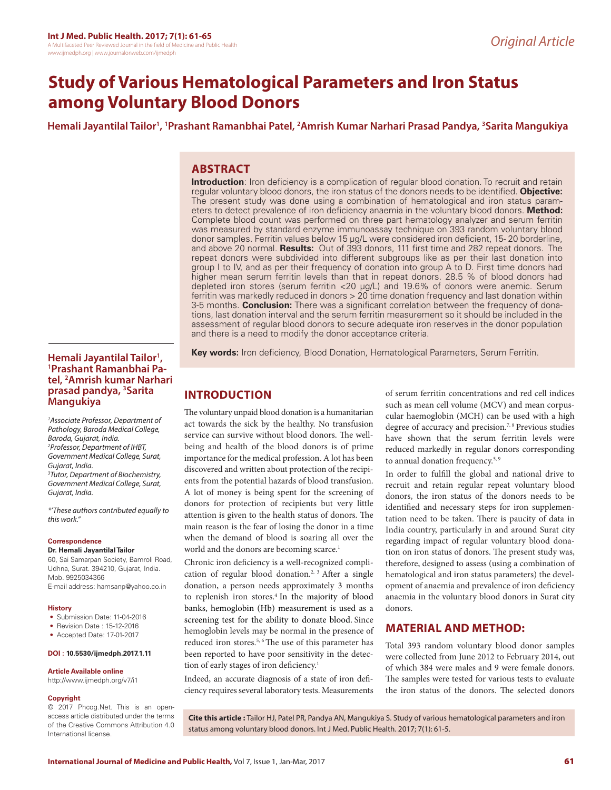# **Study of Various Hematological Parameters and Iron Status among Voluntary Blood Donors**

**Hemali Jayantilal Tailor1 , 1 Prashant Ramanbhai Patel, 2 Amrish Kumar Narhari Prasad Pandya, 3 Sarita Mangukiya**

# **ABSTRACT**

**Introduction**: Iron deficiency is a complication of regular blood donation. To recruit and retain regular voluntary blood donors, the iron status of the donors needs to be identified. **Objective:** The present study was done using a combination of hematological and iron status parameters to detect prevalence of iron deficiency anaemia in the voluntary blood donors. **Method:**  Complete blood count was performed on three part hematology analyzer and serum ferritin was measured by standard enzyme immunoassay technique on 393 random voluntary blood donor samples. Ferritin values below 15 µg/L were considered iron deficient, 15- 20 borderline, and above 20 normal. **Results:** Out of 393 donors, 111 first time and 282 repeat donors. The repeat donors were subdivided into different subgroups like as per their last donation into group I to IV, and as per their frequency of donation into group A to D. First time donors had higher mean serum ferritin levels than that in repeat donors. 28.5 % of blood donors had depleted iron stores (serum ferritin <20 μg/L) and 19.6% of donors were anemic. Serum ferritin was markedly reduced in donors > 20 time donation frequency and last donation within 3-5 months. **Conclusion:** There was a significant correlation between the frequency of donations, last donation interval and the serum ferritin measurement so it should be included in the assessment of regular blood donors to secure adequate iron reserves in the donor population and there is a need to modify the donor acceptance criteria.

**Key words:** Iron deficiency, Blood Donation, Hematological Parameters, Serum Ferritin.

## **Hemali Jayantilal Tailor1 , 1 Prashant Ramanbhai Patel, 2 Amrish kumar Narhari prasad pandya, 3 Sarita Mangukiya**

*1 Associate Professor, Department of Pathology, Baroda Medical College, Baroda, Gujarat, India. 2 Professor, Department of IHBT, Government Medical College, Surat, Gujarat, India. 3 Tutor, Department of Biochemistry, Government Medical College, Surat, Gujarat, India.*

*\*'These authors contributed equally to this work."*

#### **Correspondence**

**Dr. Hemali Jayantilal Tailor**

60, Sai Samarpan Society, Bamroli Road, Udhna, Surat. 394210, Gujarat, India. Mob. 9925034366 E-mail address: hamsanp@yahoo.co.in

#### **History**

- Submission Date: 11-04-2016
- Revision Date : 15-12-2016
- Accepted Date: 17-01-2017

#### **DOI : 10.5530/ijmedph.2017.1.11**

#### **Article Available online**

http://www.ijmedph.org/v7/i1

#### **Copyright**

© 2017 Phcog.Net. This is an openaccess article distributed under the terms of the Creative Commons Attribution 4.0 International license.

# **INTRODUCTION**

The voluntary unpaid blood donation is a humanitarian act towards the sick by the healthy. No transfusion service can survive without blood donors. The wellbeing and health of the blood donors is of prime importance for the medical profession. A lot has been discovered and written about protection of the recipients from the potential hazards of blood transfusion. A lot of money is being spent for the screening of donors for protection of recipients but very little attention is given to the health status of donors. The main reason is the fear of losing the donor in a time when the demand of blood is soaring all over the world and the donors are becoming scarce.<sup>1</sup>

Chronic iron deficiency is a well-recognized complication of regular blood donation.<sup>2, 3</sup> After a single donation, a person needs approximately 3 months to replenish iron stores.<sup>4</sup> In the majority of blood banks, hemoglobin (Hb) measurement is used as a screening test for the ability to donate blood. Since hemoglobin levels may be normal in the presence of reduced iron stores.<sup>5, 6</sup> The use of this parameter has been reported to have poor sensitivity in the detection of early stages of iron deficiency.<sup>1</sup>

Indeed, an accurate diagnosis of a state of iron deficiency requires several laboratory tests. Measurements of serum ferritin concentrations and red cell indices such as mean cell volume (MCV) and mean corpuscular haemoglobin (MCH) can be used with a high degree of accuracy and precision.<sup>7, 8</sup> Previous studies have shown that the serum ferritin levels were reduced markedly in regular donors corresponding to annual donation frequency.<sup>5, 9</sup>

In order to fulfill the global and national drive to recruit and retain regular repeat voluntary blood donors, the iron status of the donors needs to be identified and necessary steps for iron supplementation need to be taken. There is paucity of data in India country, particularly in and around Surat city regarding impact of regular voluntary blood donation on iron status of donors. The present study was, therefore, designed to assess (using a combination of hematological and iron status parameters) the development of anaemia and prevalence of iron deficiency anaemia in the voluntary blood donors in Surat city donors.

## **MATERIAL AND METHOD:**

Total 393 random voluntary blood donor samples were collected from June 2012 to February 2014, out of which 384 were males and 9 were female donors. The samples were tested for various tests to evaluate the iron status of the donors. The selected donors

**Cite this article :** Tailor HJ, Patel PR, Pandya AN, Mangukiya S. Study of various hematological parameters and iron status among voluntary blood donors. Int J Med. Public Health. 2017; 7(1): 61-5.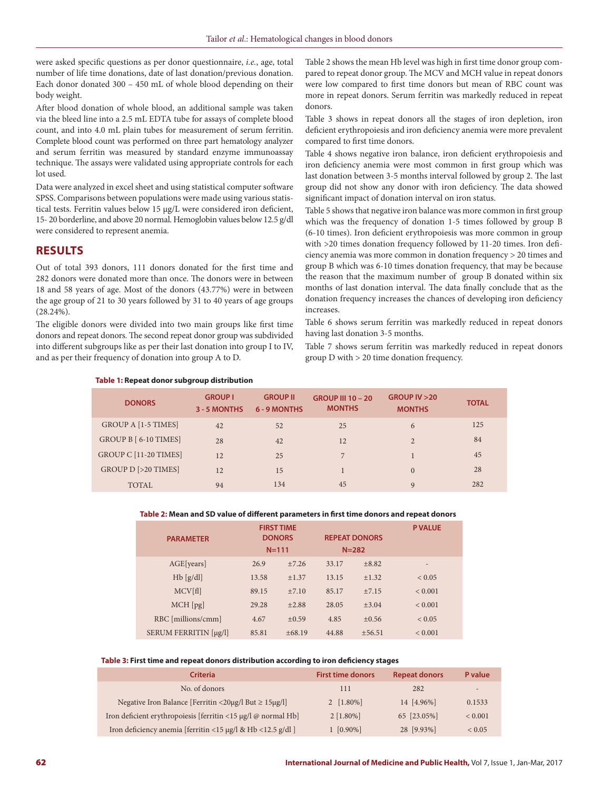were asked specific questions as per donor questionnaire, *i.e.*, age, total number of life time donations, date of last donation/previous donation. Each donor donated 300 – 450 mL of whole blood depending on their body weight.

After blood donation of whole blood, an additional sample was taken via the bleed line into a 2.5 mL EDTA tube for assays of complete blood count, and into 4.0 mL plain tubes for measurement of serum ferritin. Complete blood count was performed on three part hematology analyzer and serum ferritin was measured by standard enzyme immunoassay technique. The assays were validated using appropriate controls for each lot used.

Data were analyzed in excel sheet and using statistical computer software SPSS. Comparisons between populations were made using various statistical tests. Ferritin values below 15 µg/L were considered iron deficient, 15- 20 borderline, and above 20 normal. Hemoglobin values below 12.5 g/dl were considered to represent anemia.

## **RESULTS**

Out of total 393 donors, 111 donors donated for the first time and 282 donors were donated more than once. The donors were in between 18 and 58 years of age. Most of the donors (43.77%) were in between the age group of 21 to 30 years followed by 31 to 40 years of age groups (28.24%).

The eligible donors were divided into two main groups like first time donors and repeat donors. The second repeat donor group was subdivided into different subgroups like as per their last donation into group I to IV, and as per their frequency of donation into group A to D.

Table 2 shows the mean Hb level was high in first time donor group compared to repeat donor group. The MCV and MCH value in repeat donors were low compared to first time donors but mean of RBC count was more in repeat donors. Serum ferritin was markedly reduced in repeat donors.

Table 3 shows in repeat donors all the stages of iron depletion, iron deficient erythropoiesis and iron deficiency anemia were more prevalent compared to first time donors.

Table 4 shows negative iron balance, iron deficient erythropoiesis and iron deficiency anemia were most common in first group which was last donation between 3-5 months interval followed by group 2. The last group did not show any donor with iron deficiency. The data showed significant impact of donation interval on iron status.

Table 5 shows that negative iron balance was more common in first group which was the frequency of donation 1-5 times followed by group B (6-10 times). Iron deficient erythropoiesis was more common in group with >20 times donation frequency followed by 11-20 times. Iron deficiency anemia was more common in donation frequency > 20 times and group B which was 6-10 times donation frequency, that may be because the reason that the maximum number of group B donated within six months of last donation interval. The data finally conclude that as the donation frequency increases the chances of developing iron deficiency increases.

Table 6 shows serum ferritin was markedly reduced in repeat donors having last donation 3-5 months.

Table 7 shows serum ferritin was markedly reduced in repeat donors group D with > 20 time donation frequency.

#### **Table 1: Repeat donor subgroup distribution**

| <b>DONORS</b>                 | <b>GROUP I</b><br>3 - 5 MONTHS | <b>GROUP II</b><br>6 - 9 MONTHS | <b>GROUP III 10 - 20</b><br><b>MONTHS</b> | GROUP IV > 20<br><b>MONTHS</b> | <b>TOTAL</b> |
|-------------------------------|--------------------------------|---------------------------------|-------------------------------------------|--------------------------------|--------------|
| <b>GROUP A [1-5 TIMES]</b>    | 42                             | 52                              | 25                                        | 6                              | 125          |
| GROUP B [ 6-10 TIMES]         | 28                             | 42                              | 12                                        | $\overline{2}$                 | 84           |
| GROUP C [11-20 TIMES]         | 12                             | 25                              | 7                                         |                                | 45           |
| <b>GROUP D [&gt;20 TIMES]</b> | 12                             | 15                              |                                           | $\Omega$                       | 28           |
| <b>TOTAL</b>                  | 94                             | 134                             | 45                                        | 9                              | 282          |

#### **Table 2: Mean and SD value of different parameters in first time donors and repeat donors**

| <b>PARAMETER</b>      | <b>FIRST TIME</b><br><b>DONORS</b><br>$N = 111$ |          | <b>REPEAT DONORS</b><br>$N = 282$ |            | <b>P VALUE</b>           |
|-----------------------|-------------------------------------------------|----------|-----------------------------------|------------|--------------------------|
| AGE[years]            | 26.9                                            | $+7.26$  | 33.17                             | $+8.82$    | $\overline{\phantom{0}}$ |
| $Hb$ [g/dl]           | 13.58                                           | $+1.37$  | 13.15                             | $+1.32$    | ${}_{0.05}$              |
| MCV[fl]               | 89.15                                           | $+7.10$  | 85.17                             | ±7.15      | ${}_{0.001}$             |
| $MCH$ [pg]            | 29.28                                           | $+2.88$  | 28.05                             | $\pm 3.04$ | ${}< 0.001$              |
| RBC [millions/cmm]    | 4.67                                            | $+0.59$  | 4.85                              | $+0.56$    | ${}< 0.05$               |
| SERUM FERRITIN [µg/l] | 85.81                                           | $+68.19$ | 44.88                             | $+56.51$   | ${}< 0.001$              |

#### **Table 3: First time and repeat donors distribution according to iron deficiency stages**

| <b>Criteria</b>                                                                                   | <b>First time donors</b> | <b>Repeat donors</b> | P value     |
|---------------------------------------------------------------------------------------------------|--------------------------|----------------------|-------------|
| No. of donors                                                                                     | 111                      | 282                  | a.          |
| Negative Iron Balance [Ferritin <20 $\mu$ g/l But $\geq$ 15 $\mu$ g/l]                            | 2 $[1.80\%]$             | 14 [4.96%]           | 0.1533      |
| Iron deficient erythropoiesis [ferritin $\langle 15 \mu g / \mathbf{I} \omega \rangle$ normal Hb] | $2 [1.80\%]$             | 65 [23.05%]          | ${}< 0.001$ |
| Iron deficiency anemia [ferritin <15 µg/l & Hb <12.5 g/dl ]                                       | $1 [0.90\%]$             | 28 [9.93%]           | ${}_{0.05}$ |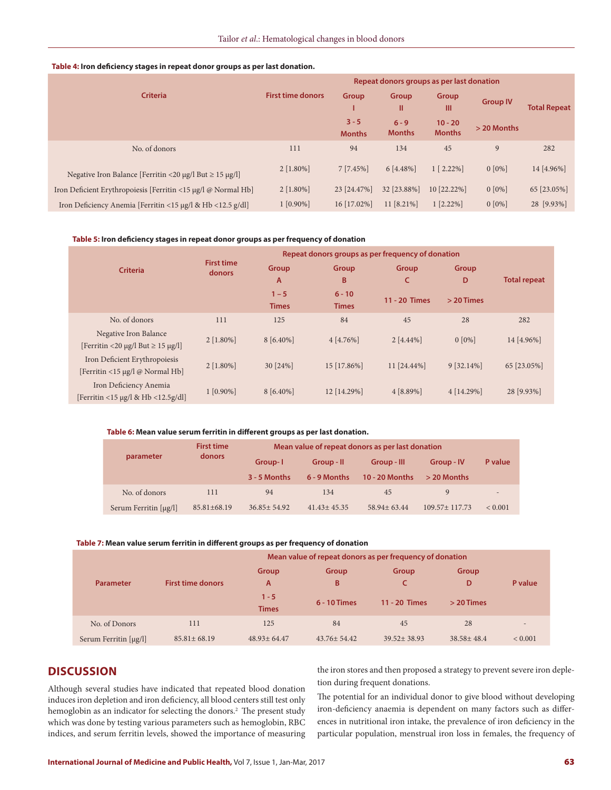### **Table 4: Iron deficiency stages in repeat donor groups as per last donation.**

|                                                                        | Repeat donors groups as per last donation |                          |                          |                            |                 |                     |  |
|------------------------------------------------------------------------|-------------------------------------------|--------------------------|--------------------------|----------------------------|-----------------|---------------------|--|
| <b>Criteria</b>                                                        | <b>First time donors</b>                  | Group                    | Group<br>Ш               | Group<br>Ш                 | <b>Group IV</b> | <b>Total Repeat</b> |  |
|                                                                        |                                           | $3 - 5$<br><b>Months</b> | $6 - 9$<br><b>Months</b> | $10 - 20$<br><b>Months</b> | > 20 Months     |                     |  |
| No. of donors                                                          | 111                                       | 94                       | 134                      | 45                         | 9               | 282                 |  |
| Negative Iron Balance [Ferritin <20 $\mu$ g/l But $\geq$ 15 $\mu$ g/l] | $2$ [1.80%]                               | $7 [7.45\%]$             | 6 [4.48%]                | $1 [2.22\%]$               | $0 [0\%]$       | 14 [4.96%]          |  |
| Iron Deficient Erythropoiesis [Ferritin <15 µg/l @ Normal Hb]          | $2 [1.80\%]$                              | 23 [24.47%]              | 32 [23.88%]              | 10 [22.22%]                | $0 [0\%]$       | 65 [23.05%]         |  |
| Iron Deficiency Anemia [Ferritin <15 µg/l & Hb <12.5 g/dl]             | $1 [0.90\%]$                              | 16 [17.02%]              | 11 [8.21%]               | $1 [2.22\%]$               | $0 [0\%]$       | 28 [9.93%]          |  |

#### **Table 5: Iron deficiency stages in repeat donor groups as per frequency of donation**

|                                                  |                             | Repeat donors groups as per frequency of donation |              |               |              |                     |  |
|--------------------------------------------------|-----------------------------|---------------------------------------------------|--------------|---------------|--------------|---------------------|--|
| <b>Criteria</b>                                  | <b>First time</b><br>donors | Group<br>A                                        | Group<br>B   | Group<br>c    | Group<br>D   | <b>Total repeat</b> |  |
|                                                  |                             | $1 - 5$                                           | $6 - 10$     | 11 - 20 Times | $>$ 20 Times |                     |  |
|                                                  |                             | <b>Times</b>                                      | <b>Times</b> |               |              |                     |  |
| No. of donors                                    | 111                         | 125                                               | 84           | 45            | 28           | 282                 |  |
| Negative Iron Balance                            | $2 [1.80\%]$                | 8 [6.40%]                                         | 4 [4.76%]    | $2[4.44\%]$   | $0 [0\%]$    | 14 [4.96%]          |  |
| [Ferritin <20 $\mu$ g/l But $\geq$ 15 $\mu$ g/l] |                             |                                                   |              |               |              |                     |  |
| Iron Deficient Erythropoiesis                    | $2 [1.80\%]$                | 30 [24%]                                          | 15 [17.86%]  | 11 [24.44%]   | 9 [32.14%]   | 65 [23.05%]         |  |
| [Ferritin <15 µg/l @ Normal Hb]                  |                             |                                                   |              |               |              |                     |  |
| Iron Deficiency Anemia                           | $1 [0.90\%]$                | 8 [6.40%]                                         | 12 [14.29%]  | $4 [8.89\%]$  | 4 [14.29%]   | 28 [9.93%]          |  |
| [Ferritin <15 µg/l & Hb <12.5g/dl]               |                             |                                                   |              |               |              |                     |  |

#### **Table 6: Mean value serum ferritin in different groups as per last donation.**

| parameter             | <b>First time</b><br>donors | Mean value of repeat donors as per last donation |                            |                               |                             |                          |  |
|-----------------------|-----------------------------|--------------------------------------------------|----------------------------|-------------------------------|-----------------------------|--------------------------|--|
|                       |                             | Group-1<br>$3 - 5$ Months                        | Group - II<br>6 - 9 Months | Group - III<br>10 - 20 Months | Group - IV<br>$> 20$ Months | P value                  |  |
| No. of donors         | 111                         | 94                                               | 134                        | 45                            | 9                           | $\overline{\phantom{0}}$ |  |
| Serum Ferritin [µg/l] | $85.81 + 68.19$             | $36.85 + 54.92$                                  | $41.43 + 45.35$            | $58.94 + 63.44$               | $109.57 + 117.73$           | ${}_{0.001}$             |  |

#### **Table 7: Mean value serum ferritin in different groups as per frequency of donation**

|                                          |                          | Mean value of repeat donors as per frequency of donation |                   |                   |                  |                          |  |  |
|------------------------------------------|--------------------------|----------------------------------------------------------|-------------------|-------------------|------------------|--------------------------|--|--|
|                                          |                          | Group                                                    | Group             | Group             | Group            |                          |  |  |
| <b>Parameter</b>                         | <b>First time donors</b> | A                                                        | B                 |                   | D                | P value                  |  |  |
|                                          |                          | $1 - 5$                                                  | 6 - 10 Times      | 11 - 20 Times     | $>$ 20 Times     |                          |  |  |
|                                          |                          | <b>Times</b>                                             |                   |                   |                  |                          |  |  |
| No. of Donors                            | 111                      | 125                                                      | 84                | 45                | 28               | $\overline{\phantom{0}}$ |  |  |
| Serum Ferritin $\lceil \mu g / l \rceil$ | $85.81 \pm 68.19$        | $48.93 \pm 64.47$                                        | $43.76 \pm 54.42$ | $39.52 \pm 38.93$ | $38.58 \pm 48.4$ | ${}< 0.001$              |  |  |

# **DISCUSSION**

Although several studies have indicated that repeated blood donation induces iron depletion and iron deficiency, all blood centers still test only hemoglobin as an indicator for selecting the donors.<sup>2</sup> The present study which was done by testing various parameters such as hemoglobin, RBC indices, and serum ferritin levels, showed the importance of measuring the iron stores and then proposed a strategy to prevent severe iron depletion during frequent donations.

The potential for an individual donor to give blood without developing iron-deficiency anaemia is dependent on many factors such as differences in nutritional iron intake, the prevalence of iron deficiency in the particular population, menstrual iron loss in females, the frequency of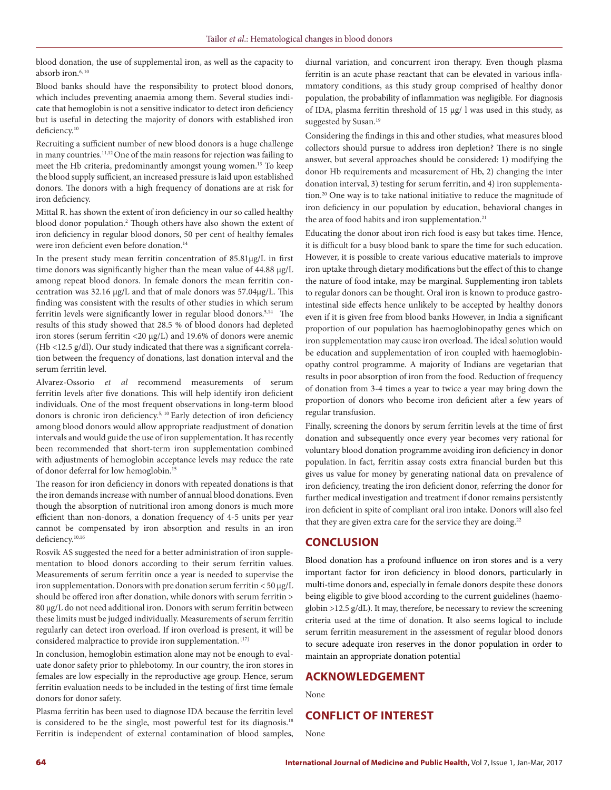blood donation, the use of supplemental iron, as well as the capacity to absorb iron.<sup>6, 10</sup>

Blood banks should have the responsibility to protect blood donors, which includes preventing anaemia among them. Several studies indicate that hemoglobin is not a sensitive indicator to detect iron deficiency but is useful in detecting the majority of donors with established iron deficiency.<sup>10</sup>

Recruiting a sufficient number of new blood donors is a huge challenge in many countries.11,12 One of the main reasons for rejection was failing to meet the Hb criteria, predominantly amongst young women.13 To keep the blood supply sufficient, an increased pressure is laid upon established donors. The donors with a high frequency of donations are at risk for iron deficiency.

Mittal R. has shown the extent of iron deficiency in our so called healthy blood donor population.<sup>2</sup> Though others have also shown the extent of iron deficiency in regular blood donors, 50 per cent of healthy females were iron deficient even before donation.<sup>14</sup>

In the present study mean ferritin concentration of 85.81μg/L in first time donors was significantly higher than the mean value of 44.88 μg/L among repeat blood donors. In female donors the mean ferritin concentration was 32.16 μg/L and that of male donors was 57.04μg/L. This finding was consistent with the results of other studies in which serum ferritin levels were significantly lower in regular blood donors.5,14 The results of this study showed that 28.5 % of blood donors had depleted iron stores (serum ferritin <20 μg/L) and 19.6% of donors were anemic (Hb <12.5 g/dl). Our study indicated that there was a significant correlation between the frequency of donations, last donation interval and the serum ferritin level.

Alvarez-Ossorio *et al* recommend measurements of serum ferritin levels after five donations. This will help identify iron deficient individuals. One of the most frequent observations in long-term blood donors is chronic iron deficiency.<sup>5, 10</sup> Early detection of iron deficiency among blood donors would allow appropriate readjustment of donation intervals and would guide the use of iron supplementation. It has recently been recommended that short-term iron supplementation combined with adjustments of hemoglobin acceptance levels may reduce the rate of donor deferral for low hemoglobin.15

The reason for iron deficiency in donors with repeated donations is that the iron demands increase with number of annual blood donations. Even though the absorption of nutritional iron among donors is much more efficient than non-donors, a donation frequency of 4-5 units per year cannot be compensated by iron absorption and results in an iron deficiency.10,16

Rosvik AS suggested the need for a better administration of iron supplementation to blood donors according to their serum ferritin values. Measurements of serum ferritin once a year is needed to supervise the iron supplementation. Donors with pre donation serum ferritin < 50 μg/L should be offered iron after donation, while donors with serum ferritin > 80 μg/L do not need additional iron. Donors with serum ferritin between these limits must be judged individually. Measurements of serum ferritin regularly can detect iron overload. If iron overload is present, it will be considered malpractice to provide iron supplementation. [17]

In conclusion, hemoglobin estimation alone may not be enough to evaluate donor safety prior to phlebotomy. In our country, the iron stores in females are low especially in the reproductive age group. Hence, serum ferritin evaluation needs to be included in the testing of first time female donors for donor safety.

Plasma ferritin has been used to diagnose IDA because the ferritin level is considered to be the single, most powerful test for its diagnosis.<sup>18</sup> Ferritin is independent of external contamination of blood samples, diurnal variation, and concurrent iron therapy. Even though plasma ferritin is an acute phase reactant that can be elevated in various inflammatory conditions, as this study group comprised of healthy donor population, the probability of inflammation was negligible. For diagnosis of IDA, plasma ferritin threshold of 15 µg/ l was used in this study, as suggested by Susan.<sup>19</sup>

Considering the findings in this and other studies, what measures blood collectors should pursue to address iron depletion? There is no single answer, but several approaches should be considered: 1) modifying the donor Hb requirements and measurement of Hb, 2) changing the inter donation interval, 3) testing for serum ferritin, and 4) iron supplementation.20 One way is to take national initiative to reduce the magnitude of iron deficiency in our population by education, behavioral changes in the area of food habits and iron supplementation.<sup>21</sup>

Educating the donor about iron rich food is easy but takes time. Hence, it is difficult for a busy blood bank to spare the time for such education. However, it is possible to create various educative materials to improve iron uptake through dietary modifications but the effect of this to change the nature of food intake, may be marginal. Supplementing iron tablets to regular donors can be thought. Oral iron is known to produce gastrointestinal side effects hence unlikely to be accepted by healthy donors even if it is given free from blood banks However, in India a significant proportion of our population has haemoglobinopathy genes which on iron supplementation may cause iron overload. The ideal solution would be education and supplementation of iron coupled with haemoglobinopathy control programme. A majority of Indians are vegetarian that results in poor absorption of iron from the food. Reduction of frequency of donation from 3-4 times a year to twice a year may bring down the proportion of donors who become iron deficient after a few years of regular transfusion.

Finally, screening the donors by serum ferritin levels at the time of first donation and subsequently once every year becomes very rational for voluntary blood donation programme avoiding iron deficiency in donor population. In fact, ferritin assay costs extra financial burden but this gives us value for money by generating national data on prevalence of iron deficiency, treating the iron deficient donor, referring the donor for further medical investigation and treatment if donor remains persistently iron deficient in spite of compliant oral iron intake. Donors will also feel that they are given extra care for the service they are doing.<sup>22</sup>

# **CONCLUSION**

Blood donation has a profound influence on iron stores and is a very important factor for iron deficiency in blood donors, particularly in multi-time donors and, especially in female donors despite these donors being eligible to give blood according to the current guidelines (haemoglobin >12.5 g/dL). It may, therefore, be necessary to review the screening criteria used at the time of donation. It also seems logical to include serum ferritin measurement in the assessment of regular blood donors to secure adequate iron reserves in the donor population in order to maintain an appropriate donation potential

## **ACKNOWLEDGEMENT**

None

# **CONFLICT OF INTEREST**

None